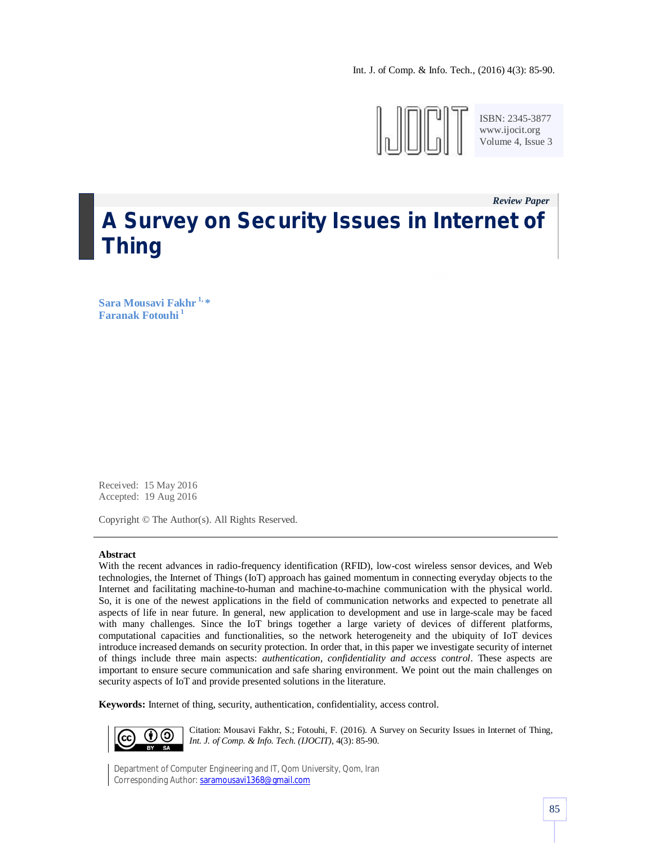Int. J. of Comp. & Info. Tech., (2016) 4(3): 85-90.



ISBN: 2345-3877 www.ijocit.org Volume 4, Issue 3

*Review Paper\_\_* **A Survey on Security Issues in Internet of Thing**

**Sara Mousavi Fakhr 1, \* Faranak Fotouhi <sup>1</sup>**

Received: 15 May 2016 Accepted: 19 Aug 2016

Copyright © The Author(s). All Rights Reserved.

### **Abstract**

With the recent advances in radio-frequency identification (RFID), low-cost wireless sensor devices, and Web technologies, the Internet of Things (IoT) approach has gained momentum in connecting everyday objects to the Internet and facilitating machine-to-human and machine-to-machine communication with the physical world. So, it is one of the newest applications in the field of communication networks and expected to penetrate all aspects of life in near future. In general, new application to development and use in large-scale may be faced with many challenges. Since the IoT brings together a large variety of devices of different platforms, computational capacities and functionalities, so the network heterogeneity and the ubiquity of IoT devices introduce increased demands on security protection. In order that, in this paper we investigate security of internet of things include three main aspects: *authentication, confidentiality and access control*. These aspects are important to ensure secure communication and safe sharing environment. We point out the main challenges on security aspects of IoT and provide presented solutions in the literature.

**Keywords:** Internet of thing, security, authentication, confidentiality, access control.



Citation: Mousavi Fakhr, S.; Fotouhi, F. (2016). A Survey on Security Issues in Internet of Thing, *Int. J. of Comp. & Info. Tech. (IJOCIT)*, 4(3): 85-90.

Department of Computer Engineering and IT, Qom University, Qom, Iran Corresponding Author: saramousavi1368@gmail.com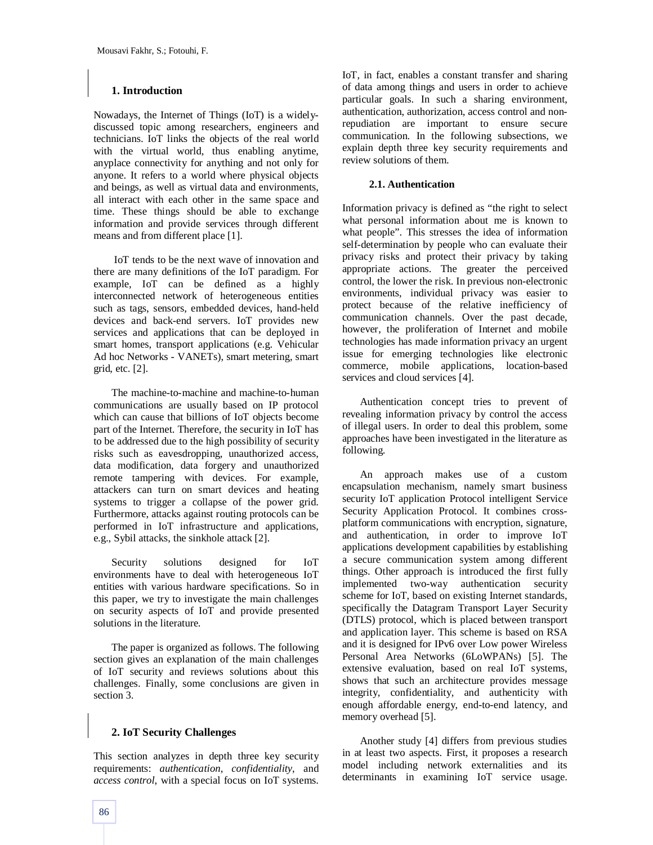### **1. Introduction**

Nowadays, the Internet of Things (IoT) is a widelydiscussed topic among researchers, engineers and technicians. IoT links the objects of the real world with the virtual world, thus enabling anytime, anyplace connectivity for anything and not only for anyone. It refers to a world where physical objects and beings, as well as virtual data and environments, all interact with each other in the same space and time. These things should be able to exchange information and provide services through different means and from different place [1].

IoT tends to be the next wave of innovation and there are many definitions of the IoT paradigm. For example, IoT can be defined as a highly interconnected network of heterogeneous entities such as tags, sensors, embedded devices, hand-held devices and back-end servers. IoT provides new services and applications that can be deployed in smart homes, transport applications (e.g. Vehicular Ad hoc Networks - VANETs), smart metering, smart grid, etc. [2].

The machine-to-machine and machine-to-human communications are usually based on IP protocol which can cause that billions of IoT objects become part of the Internet. Therefore, the security in IoT has to be addressed due to the high possibility of security risks such as eavesdropping, unauthorized access, data modification, data forgery and unauthorized remote tampering with devices. For example, attackers can turn on smart devices and heating systems to trigger a collapse of the power grid. Furthermore, attacks against routing protocols can be performed in IoT infrastructure and applications, e.g., Sybil attacks, the sinkhole attack [2].

Security solutions designed for IoT environments have to deal with heterogeneous IoT entities with various hardware specifications. So in this paper, we try to investigate the main challenges on security aspects of IoT and provide presented solutions in the literature.

The paper is organized as follows. The following section gives an explanation of the main challenges of IoT security and reviews solutions about this challenges. Finally, some conclusions are given in section 3.

# **2. IoT Security Challenges**

This section analyzes in depth three key security requirements: *authentication*, *confidentiality*, and *access control*, with a special focus on IoT systems. IoT, in fact, enables a constant transfer and sharing of data among things and users in order to achieve particular goals. In such a sharing environment, authentication, authorization, access control and nonrepudiation are important to ensure secure communication. In the following subsections, we explain depth three key security requirements and review solutions of them.

### **2.1. Authentication**

Information privacy is defined as "the right to select what personal information about me is known to what people". This stresses the idea of information self-determination by people who can evaluate their privacy risks and protect their privacy by taking appropriate actions. The greater the perceived control, the lower the risk. In previous non-electronic environments, individual privacy was easier to protect because of the relative inefficiency of communication channels. Over the past decade, however, the proliferation of Internet and mobile technologies has made information privacy an urgent issue for emerging technologies like electronic commerce, mobile applications, location-based services and cloud services [4].

Authentication concept tries to prevent of revealing information privacy by control the access of illegal users. In order to deal this problem, some approaches have been investigated in the literature as following.

An approach makes use of a custom encapsulation mechanism, namely smart business security IoT application Protocol intelligent Service Security Application Protocol. It combines crossplatform communications with encryption, signature, and authentication, in order to improve IoT applications development capabilities by establishing a secure communication system among different things. Other approach is introduced the first fully implemented two-way authentication security scheme for IoT, based on existing Internet standards, specifically the Datagram Transport Layer Security (DTLS) protocol, which is placed between transport and application layer. This scheme is based on RSA and it is designed for IPv6 over Low power Wireless Personal Area Networks (6LoWPANs) [5]. The extensive evaluation, based on real IoT systems, shows that such an architecture provides message integrity, confidentiality, and authenticity with enough affordable energy, end-to-end latency, and memory overhead [5].

Another study [4] differs from previous studies in at least two aspects. First, it proposes a research model including network externalities and its determinants in examining IoT service usage.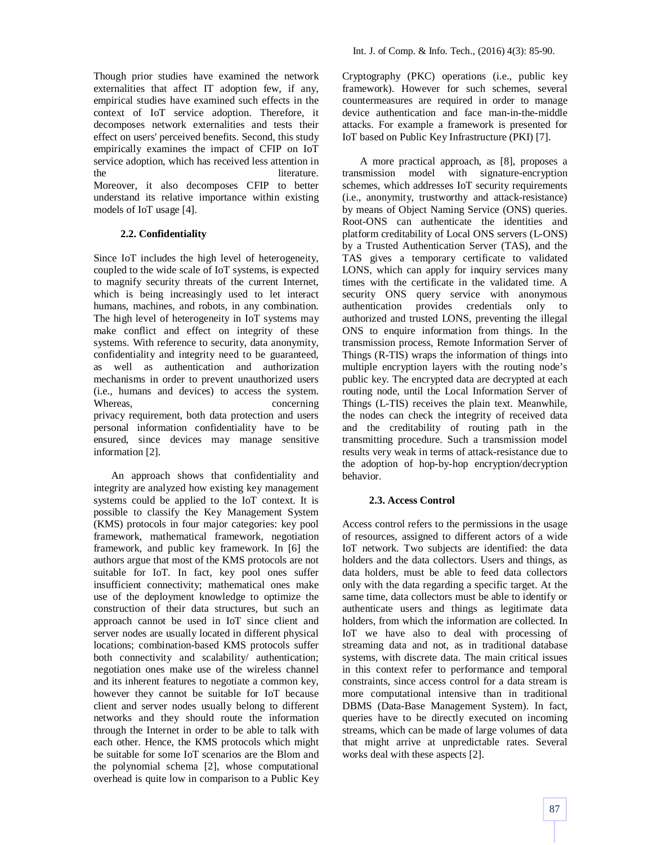Though prior studies have examined the network externalities that affect IT adoption few, if any, empirical studies have examined such effects in the context of IoT service adoption. Therefore, it decomposes network externalities and tests their effect on users' perceived benefits. Second, this study empirically examines the impact of CFIP on IoT service adoption, which has received less attention in the literature. Moreover, it also decomposes CFIP to better understand its relative importance within existing models of IoT usage [4].

# **2.2. Confidentiality**

Since IoT includes the high level of heterogeneity, coupled to the wide scale of IoT systems, is expected to magnify security threats of the current Internet, which is being increasingly used to let interact humans, machines, and robots, in any combination. The high level of heterogeneity in IoT systems may make conflict and effect on integrity of these systems. With reference to security, data anonymity, confidentiality and integrity need to be guaranteed, as well as authentication and authorization mechanisms in order to prevent unauthorized users (i.e., humans and devices) to access the system. Whereas,  $\omega$  concerning privacy requirement, both data protection and users personal information confidentiality have to be ensured, since devices may manage sensitive information [2].

An approach shows that confidentiality and integrity are analyzed how existing key management systems could be applied to the IoT context. It is possible to classify the Key Management System (KMS) protocols in four major categories: key pool framework, mathematical framework, negotiation framework, and public key framework. In [6] the authors argue that most of the KMS protocols are not suitable for IoT. In fact, key pool ones suffer insufficient connectivity; mathematical ones make use of the deployment knowledge to optimize the construction of their data structures, but such an approach cannot be used in IoT since client and server nodes are usually located in different physical locations; combination-based KMS protocols suffer both connectivity and scalability/ authentication; negotiation ones make use of the wireless channel and its inherent features to negotiate a common key, however they cannot be suitable for IoT because client and server nodes usually belong to different networks and they should route the information through the Internet in order to be able to talk with each other. Hence, the KMS protocols which might be suitable for some IoT scenarios are the Blom and the polynomial schema [2], whose computational overhead is quite low in comparison to a Public Key Cryptography (PKC) operations (i.e., public key framework). However for such schemes, several countermeasures are required in order to manage device authentication and face man-in-the-middle attacks. For example a framework is presented for IoT based on Public Key Infrastructure (PKI) [7].

A more practical approach, as [8], proposes a transmission model with signature-encryption schemes, which addresses IoT security requirements (i.e., anonymity, trustworthy and attack-resistance) by means of Object Naming Service (ONS) queries. Root-ONS can authenticate the identities and platform creditability of Local ONS servers (L-ONS) by a Trusted Authentication Server (TAS), and the TAS gives a temporary certificate to validated LONS, which can apply for inquiry services many times with the certificate in the validated time. A security ONS query service with anonymous authentication provides credentials only to authorized and trusted LONS, preventing the illegal ONS to enquire information from things. In the transmission process, Remote Information Server of Things (R-TIS) wraps the information of things into multiple encryption layers with the routing node's public key. The encrypted data are decrypted at each routing node, until the Local Information Server of Things (L-TIS) receives the plain text. Meanwhile, the nodes can check the integrity of received data and the creditability of routing path in the transmitting procedure. Such a transmission model results very weak in terms of attack-resistance due to the adoption of hop-by-hop encryption/decryption behavior.

# **2.3. Access Control**

Access control refers to the permissions in the usage of resources, assigned to different actors of a wide IoT network. Two subjects are identified: the data holders and the data collectors. Users and things, as data holders, must be able to feed data collectors only with the data regarding a specific target. At the same time, data collectors must be able to identify or authenticate users and things as legitimate data holders, from which the information are collected. In IoT we have also to deal with processing of streaming data and not, as in traditional database systems, with discrete data. The main critical issues in this context refer to performance and temporal constraints, since access control for a data stream is more computational intensive than in traditional DBMS (Data-Base Management System). In fact, queries have to be directly executed on incoming streams, which can be made of large volumes of data that might arrive at unpredictable rates. Several works deal with these aspects [2].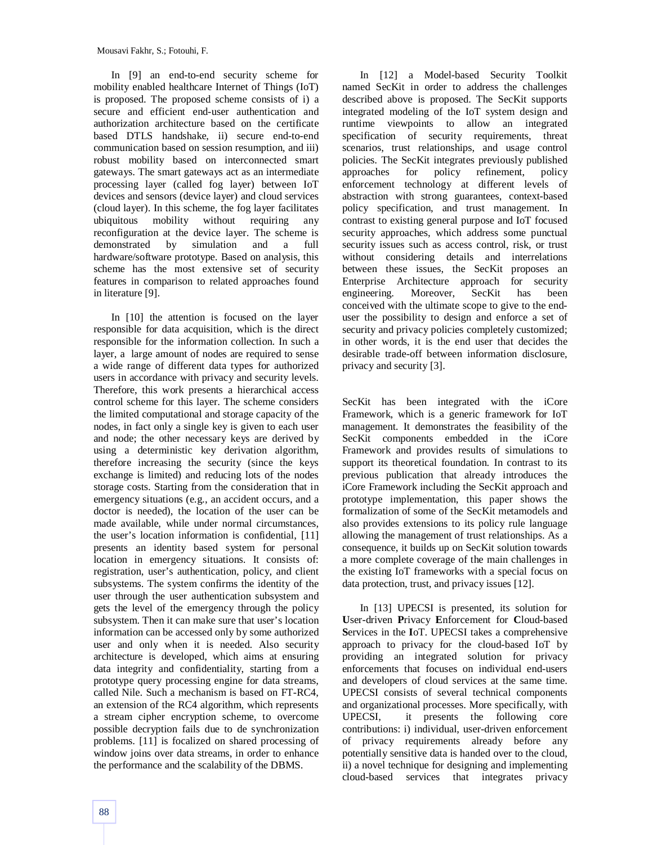In [9] an end-to-end security scheme for mobility enabled healthcare Internet of Things (IoT) is proposed. The proposed scheme consists of i) a secure and efficient end-user authentication and authorization architecture based on the certificate based DTLS handshake, ii) secure end-to-end communication based on session resumption, and iii) robust mobility based on interconnected smart gateways. The smart gateways act as an intermediate processing layer (called fog layer) between IoT devices and sensors (device layer) and cloud services (cloud layer). In this scheme, the fog layer facilitates ubiquitous mobility without requiring any reconfiguration at the device layer. The scheme is demonstrated by simulation and a full hardware/software prototype. Based on analysis, this scheme has the most extensive set of security features in comparison to related approaches found in literature [9].

In [10] the attention is focused on the layer responsible for data acquisition, which is the direct responsible for the information collection. In such a layer, a large amount of nodes are required to sense a wide range of different data types for authorized users in accordance with privacy and security levels. Therefore, this work presents a hierarchical access control scheme for this layer. The scheme considers the limited computational and storage capacity of the nodes, in fact only a single key is given to each user and node; the other necessary keys are derived by using a deterministic key derivation algorithm, therefore increasing the security (since the keys exchange is limited) and reducing lots of the nodes storage costs. Starting from the consideration that in emergency situations (e.g., an accident occurs, and a doctor is needed), the location of the user can be made available, while under normal circumstances, the user's location information is confidential, [11] presents an identity based system for personal location in emergency situations. It consists of: registration, user's authentication, policy, and client subsystems. The system confirms the identity of the user through the user authentication subsystem and gets the level of the emergency through the policy subsystem. Then it can make sure that user's location information can be accessed only by some authorized user and only when it is needed. Also security architecture is developed, which aims at ensuring data integrity and confidentiality, starting from a prototype query processing engine for data streams, called Nile. Such a mechanism is based on FT-RC4, an extension of the RC4 algorithm, which represents a stream cipher encryption scheme, to overcome possible decryption fails due to de synchronization problems. [11] is focalized on shared processing of window joins over data streams, in order to enhance the performance and the scalability of the DBMS.

In [12] a Model-based Security Toolkit named SecKit in order to address the challenges described above is proposed. The SecKit supports integrated modeling of the IoT system design and runtime viewpoints to allow an integrated specification of security requirements, threat scenarios, trust relationships, and usage control policies. The SecKit integrates previously published approaches for policy refinement, policy enforcement technology at different levels of abstraction with strong guarantees, context-based policy specification, and trust management. In contrast to existing general purpose and IoT focused security approaches, which address some punctual security issues such as access control, risk, or trust without considering details and interrelations between these issues, the SecKit proposes an Enterprise Architecture approach for security engineering. Moreover, SecKit has been conceived with the ultimate scope to give to the enduser the possibility to design and enforce a set of security and privacy policies completely customized; in other words, it is the end user that decides the desirable trade-off between information disclosure, privacy and security [3].

SecKit has been integrated with the iCore Framework, which is a generic framework for IoT management. It demonstrates the feasibility of the SecKit components embedded in the iCore Framework and provides results of simulations to support its theoretical foundation. In contrast to its previous publication that already introduces the iCore Framework including the SecKit approach and prototype implementation, this paper shows the formalization of some of the SecKit metamodels and also provides extensions to its policy rule language allowing the management of trust relationships. As a consequence, it builds up on SecKit solution towards a more complete coverage of the main challenges in the existing IoT frameworks with a special focus on data protection, trust, and privacy issues [12].

In [13] UPECSI is presented, its solution for **U**ser-driven **P**rivacy **E**nforcement for **C**loud-based **S**ervices in the **I**oT. UPECSI takes a comprehensive approach to privacy for the cloud-based IoT by providing an integrated solution for privacy enforcements that focuses on individual end-users and developers of cloud services at the same time. UPECSI consists of several technical components and organizational processes. More specifically, with UPECSI, it presents the following core contributions: i) individual, user-driven enforcement of privacy requirements already before any potentially sensitive data is handed over to the cloud, ii) a novel technique for designing and implementing cloud-based services that integrates privacy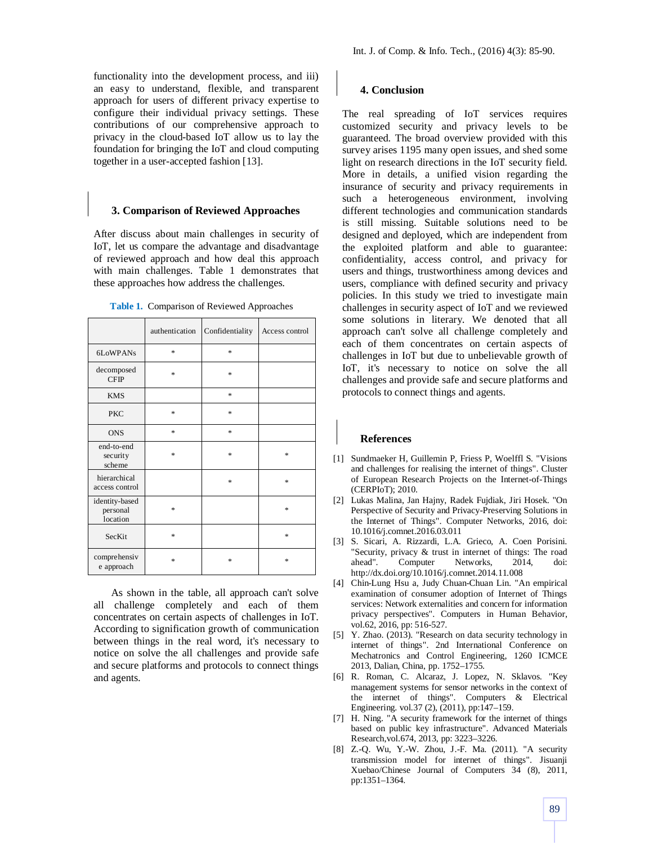functionality into the development process, and iii) an easy to understand, flexible, and transparent approach for users of different privacy expertise to configure their individual privacy settings. These contributions of our comprehensive approach to privacy in the cloud-based IoT allow us to lay the foundation for bringing the IoT and cloud computing together in a user-accepted fashion [13].

### **3. Comparison of Reviewed Approaches**

After discuss about main challenges in security of IoT, let us compare the advantage and disadvantage of reviewed approach and how deal this approach with main challenges. Table 1 demonstrates that these approaches how address the challenges.

|                                        | authentication | Confidentiality | Access control |
|----------------------------------------|----------------|-----------------|----------------|
| 6LoWPANs                               | $\ast$         | *               |                |
| decomposed<br><b>CFIP</b>              | $\ast$         | *               |                |
| <b>KMS</b>                             |                | *               |                |
| <b>PKC</b>                             | *              | *               |                |
| <b>ONS</b>                             | *              | *               |                |
| end-to-end<br>security<br>scheme       | *              | *               | *              |
| hierarchical<br>access control         |                | *               | *              |
| identity-based<br>personal<br>location | *              |                 | *              |
| <b>SecKit</b>                          | *              |                 | *              |
| comprehensiv<br>e approach             | *              | *               | *              |

**Table 1.** Comparison of Reviewed Approaches

As shown in the table, all approach can't solve all challenge completely and each of them concentrates on certain aspects of challenges in IoT. According to signification growth of communication between things in the real word, it's necessary to notice on solve the all challenges and provide safe and secure platforms and protocols to connect things and agents.

#### **4. Conclusion**

The real spreading of IoT services requires customized security and privacy levels to be guaranteed. The broad overview provided with this survey arises 1195 many open issues, and shed some light on research directions in the IoT security field. More in details, a unified vision regarding the insurance of security and privacy requirements in such a heterogeneous environment, involving different technologies and communication standards is still missing. Suitable solutions need to be designed and deployed, which are independent from the exploited platform and able to guarantee: confidentiality, access control, and privacy for users and things, trustworthiness among devices and users, compliance with defined security and privacy policies. In this study we tried to investigate main challenges in security aspect of IoT and we reviewed some solutions in literary. We denoted that all approach can't solve all challenge completely and each of them concentrates on certain aspects of challenges in IoT but due to unbelievable growth of IoT, it's necessary to notice on solve the all challenges and provide safe and secure platforms and protocols to connect things and agents.

#### **References**

- [1] Sundmaeker H, Guillemin P, Friess P, Woelffl S. "Visions and challenges for realising the internet of things". Cluster of European Research Projects on the Internet-of-Things (CERPIoT); 2010.
- [2] Lukas Malina, Jan Hajny, Radek Fujdiak, Jiri Hosek. "On Perspective of Security and Privacy-Preserving Solutions in the Internet of Things". Computer Networks, 2016, doi: 10.1016/j.comnet.2016.03.011
- [3] S. Sicari, A. Rizzardi, L.A. Grieco, A. Coen Porisini. "Security, privacy & trust in internet of things: The road ahead". Computer Networks, 2014, doi: http://dx.doi.org/10.1016/j.comnet.2014.11.008
- [4] Chin-Lung Hsu a, Judy Chuan-Chuan Lin. "An empirical examination of consumer adoption of Internet of Things services: Network externalities and concern for information privacy perspectives". Computers in Human Behavior, vol.62, 2016, pp: 516-527.
- [5] Y. Zhao. (2013). "Research on data security technology in internet of things". 2nd International Conference on Mechatronics and Control Engineering, 1260 ICMCE 2013, Dalian, China, pp. 1752–1755.
- [6] R. Roman, C. Alcaraz, J. Lopez, N. Sklavos. "Key management systems for sensor networks in the context of the internet of things". Computers & Electrical Engineering. vol.37 (2), (2011), pp:147–159.
- [7] H. Ning. "A security framework for the internet of things based on public key infrastructure". Advanced Materials Research,vol.674, 2013, pp: 3223–3226.
- [8] Z.-Q. Wu, Y.-W. Zhou, J.-F. Ma. (2011). "A security transmission model for internet of things". Jisuanji Xuebao/Chinese Journal of Computers 34 (8), 2011, pp:1351–1364.